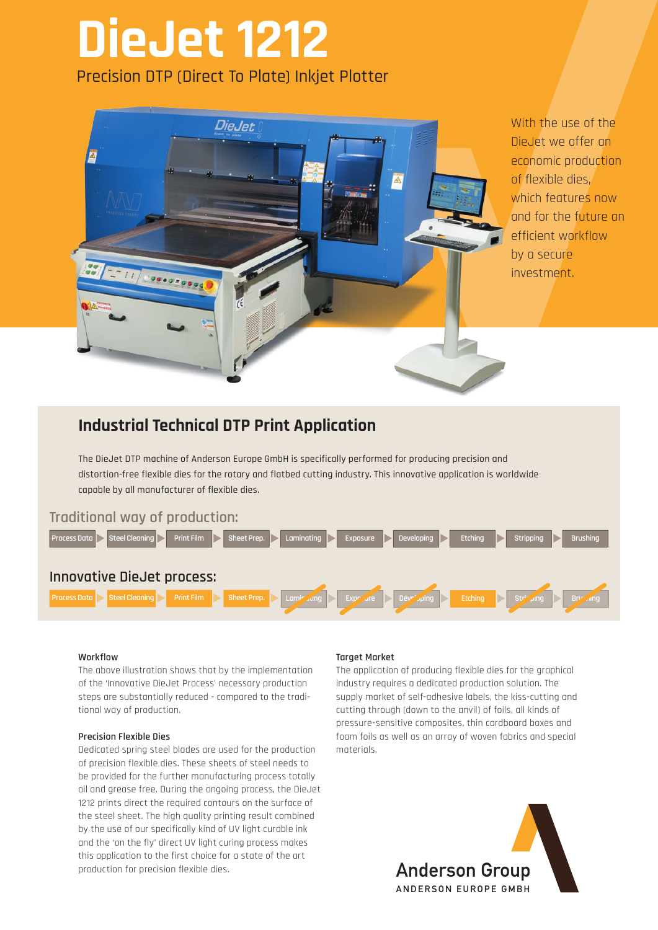## **DieJet 1212** Precision DTP (Direct To Plate) Inkjet Plotter



With the use of the DieJet we offer an economic production of flexible dies, which features now and for the future an efficient workflow by a secure investment.

### **Industrial Technical DTP Print Application**

The DieJet DTP machine of Anderson Europe GmbH is specifically performed for producing precision and distortion-free flexible dies for the rotary and flatbed cutting industry. This innovative application is worldwide capable by all manufacturer of flexible dies.

#### **Traditional way of production:**



#### **Workflow**

The above illustration shows that by the implementation of the 'Innovative DieJet Process' necessary production steps are substantially reduced - compared to the traditional way of production.

#### **Precision Flexible Dies**

Dedicated spring steel blades are used for the production of precision flexible dies. These sheets of steel needs to be provided for the further manufacturing process totally oil and grease free. During the ongoing process, the DieJet 1212 prints direct the required contours on the surface of the steel sheet. The high quality printing result combined by the use of our specifically kind of UV light curable ink and the 'on the fly' direct UV light curing process makes this application to the first choice for a state of the art production for precision flexible dies. Anderson Group

#### **Target Market**

The application of producing flexible dies for the graphical industry requires a dedicated production solution. The supply market of self-adhesive labels, the kiss-cutting and cutting through (down to the anvil) of foils, all kinds of pressure-sensitive composites, thin cardboard boxes and foam foils as well as an array of woven fabrics and special materials.